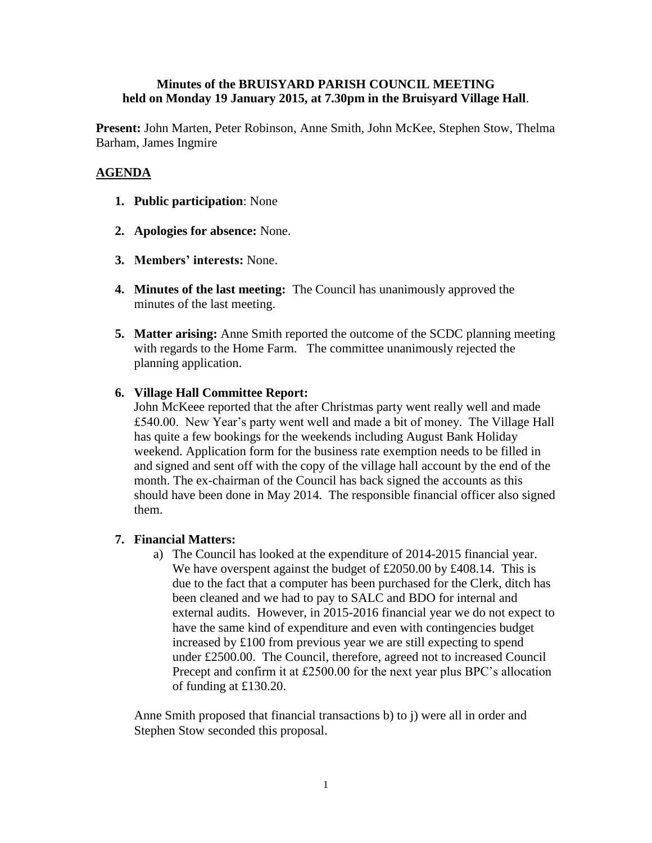## **Minutes of the BRUISYARD PARISH COUNCIL MEETING held on Monday 19 January 2015, at 7.30pm in the Bruisyard Village Hall**.

**Present:** John Marten, Peter Robinson, Anne Smith, John McKee, Stephen Stow, Thelma Barham, James Ingmire

# **AGENDA**

- **1. Public participation**: None
- **2. Apologies for absence:** None.
- **3. Members' interests:** None.
- **4. Minutes of the last meeting:** The Council has unanimously approved the minutes of the last meeting.
- **5. Matter arising:** Anne Smith reported the outcome of the SCDC planning meeting with regards to the Home Farm. The committee unanimously rejected the planning application.

# **6. Village Hall Committee Report:**

John McKeee reported that the after Christmas party went really well and made £540.00. New Year's party went well and made a bit of money. The Village Hall has quite a few bookings for the weekends including August Bank Holiday weekend. Application form for the business rate exemption needs to be filled in and signed and sent off with the copy of the village hall account by the end of the month. The ex-chairman of the Council has back signed the accounts as this should have been done in May 2014. The responsible financial officer also signed them.

## **7. Financial Matters:**

a) The Council has looked at the expenditure of 2014-2015 financial year. We have overspent against the budget of £2050.00 by £408.14. This is due to the fact that a computer has been purchased for the Clerk, ditch has been cleaned and we had to pay to SALC and BDO for internal and external audits. However, in 2015-2016 financial year we do not expect to have the same kind of expenditure and even with contingencies budget increased by £100 from previous year we are still expecting to spend under £2500.00. The Council, therefore, agreed not to increased Council Precept and confirm it at £2500.00 for the next year plus BPC's allocation of funding at £130.20.

Anne Smith proposed that financial transactions b) to j) were all in order and Stephen Stow seconded this proposal.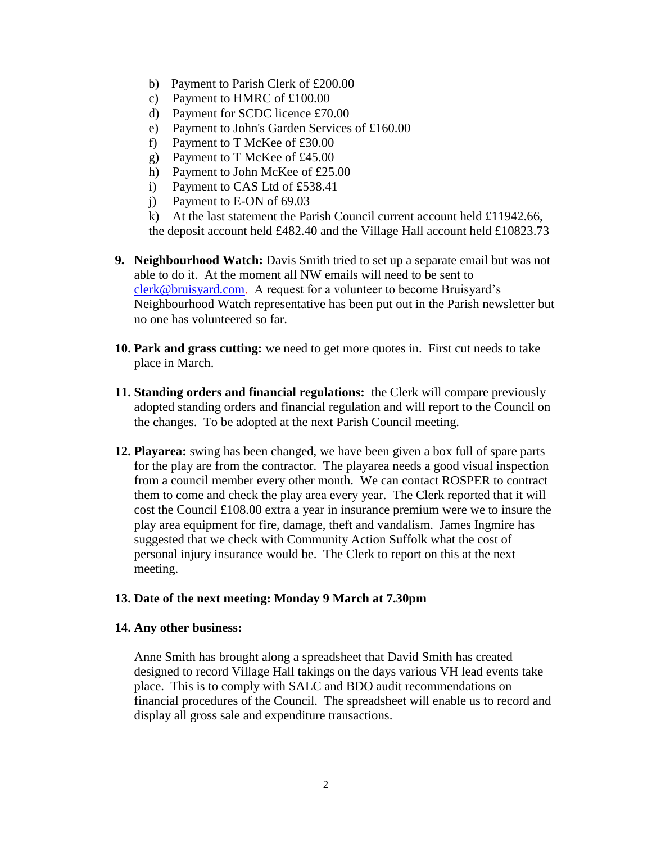- b) Payment to Parish Clerk of £200.00
- c) Payment to HMRC of £100.00
- d) Payment for SCDC licence £70.00
- e) Payment to John's Garden Services of £160.00
- f) Payment to T McKee of £30.00
- g) Payment to T McKee of £45.00
- h) Payment to John McKee of £25.00
- i) Payment to CAS Ltd of £538.41
- j) Payment to E-ON of 69.03
- k) At the last statement the Parish Council current account held £11942.66,

the deposit account held £482.40 and the Village Hall account held £10823.73

- **9. Neighbourhood Watch:** Davis Smith tried to set up a separate email but was not able to do it. At the moment all NW emails will need to be sent to [clerk@bruisyard.com.](mailto:clerk@bruisyard.com) A request for a volunteer to become Bruisyard's Neighbourhood Watch representative has been put out in the Parish newsletter but no one has volunteered so far.
- **10. Park and grass cutting:** we need to get more quotes in. First cut needs to take place in March.
- **11. Standing orders and financial regulations:** the Clerk will compare previously adopted standing orders and financial regulation and will report to the Council on the changes. To be adopted at the next Parish Council meeting.
- **12. Playarea:** swing has been changed, we have been given a box full of spare parts for the play are from the contractor. The playarea needs a good visual inspection from a council member every other month. We can contact ROSPER to contract them to come and check the play area every year. The Clerk reported that it will cost the Council £108.00 extra a year in insurance premium were we to insure the play area equipment for fire, damage, theft and vandalism. James Ingmire has suggested that we check with Community Action Suffolk what the cost of personal injury insurance would be. The Clerk to report on this at the next meeting.

### **13. Date of the next meeting: Monday 9 March at 7.30pm**

### **14. Any other business:**

Anne Smith has brought along a spreadsheet that David Smith has created designed to record Village Hall takings on the days various VH lead events take place. This is to comply with SALC and BDO audit recommendations on financial procedures of the Council. The spreadsheet will enable us to record and display all gross sale and expenditure transactions.